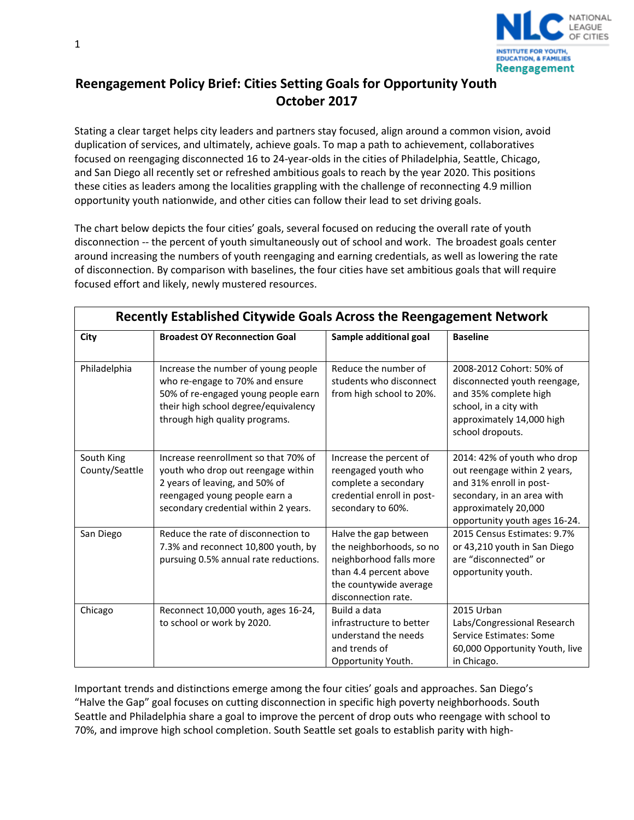

## **Reengagement Policy Brief: Cities Setting Goals for Opportunity Youth October 2017**

Stating a clear target helps city leaders and partners stay focused, align around a common vision, avoid duplication of services, and ultimately, achieve goals. To map a path to achievement, collaboratives focused on reengaging disconnected 16 to 24-year-olds in the cities of Philadelphia, Seattle, Chicago, and San Diego all recently set or refreshed ambitious goals to reach by the year 2020. This positions these cities as leaders among the localities grappling with the challenge of reconnecting 4.9 million opportunity youth nationwide, and other cities can follow their lead to set driving goals.

The chart below depicts the four cities' goals, several focused on reducing the overall rate of youth disconnection -- the percent of youth simultaneously out of school and work. The broadest goals center around increasing the numbers of youth reengaging and earning credentials, as well as lowering the rate of disconnection. By comparison with baselines, the four cities have set ambitious goals that will require focused effort and likely, newly mustered resources.

| Recently Established Citywide Goals Across the Reengagement Network |                                                                                                                                                                                         |                                                                                                                                                         |                                                                                                                                                                               |
|---------------------------------------------------------------------|-----------------------------------------------------------------------------------------------------------------------------------------------------------------------------------------|---------------------------------------------------------------------------------------------------------------------------------------------------------|-------------------------------------------------------------------------------------------------------------------------------------------------------------------------------|
| City                                                                | <b>Broadest OY Reconnection Goal</b>                                                                                                                                                    | Sample additional goal                                                                                                                                  | <b>Baseline</b>                                                                                                                                                               |
| Philadelphia                                                        | Increase the number of young people<br>who re-engage to 70% and ensure<br>50% of re-engaged young people earn<br>their high school degree/equivalency<br>through high quality programs. | Reduce the number of<br>students who disconnect<br>from high school to 20%.                                                                             | 2008-2012 Cohort: 50% of<br>disconnected youth reengage,<br>and 35% complete high<br>school, in a city with<br>approximately 14,000 high<br>school dropouts.                  |
| South King<br>County/Seattle                                        | Increase reenrollment so that 70% of<br>youth who drop out reengage within<br>2 years of leaving, and 50% of<br>reengaged young people earn a<br>secondary credential within 2 years.   | Increase the percent of<br>reengaged youth who<br>complete a secondary<br>credential enroll in post-<br>secondary to 60%.                               | 2014: 42% of youth who drop<br>out reengage within 2 years,<br>and 31% enroll in post-<br>secondary, in an area with<br>approximately 20,000<br>opportunity youth ages 16-24. |
| San Diego                                                           | Reduce the rate of disconnection to<br>7.3% and reconnect 10,800 youth, by<br>pursuing 0.5% annual rate reductions.                                                                     | Halve the gap between<br>the neighborhoods, so no<br>neighborhood falls more<br>than 4.4 percent above<br>the countywide average<br>disconnection rate. | 2015 Census Estimates: 9.7%<br>or 43,210 youth in San Diego<br>are "disconnected" or<br>opportunity youth.                                                                    |
| Chicago                                                             | Reconnect 10,000 youth, ages 16-24,<br>to school or work by 2020.                                                                                                                       | Build a data<br>infrastructure to better<br>understand the needs<br>and trends of<br>Opportunity Youth.                                                 | 2015 Urban<br>Labs/Congressional Research<br>Service Estimates: Some<br>60,000 Opportunity Youth, live<br>in Chicago.                                                         |

Important trends and distinctions emerge among the four cities' goals and approaches. San Diego's "Halve the Gap" goal focuses on cutting disconnection in specific high poverty neighborhoods. South Seattle and Philadelphia share a goal to improve the percent of drop outs who reengage with school to 70%, and improve high school completion. South Seattle set goals to establish parity with high-